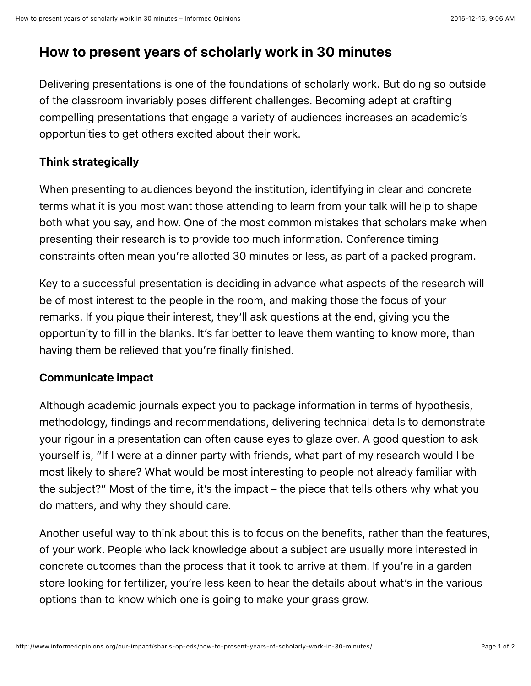# **How to present years of scholarly work in 30 minutes**

Delivering presentations is one of the foundations of scholarly work. But doing so outside of the classroom invariably poses different challenges. Becoming adept at crafting compelling presentations that engage a variety of audiences increases an academic's opportunities to get others excited about their work.

## **Think strategically**

When presenting to audiences beyond the institution, identifying in clear and concrete terms what it is you most want those attending to learn from your talk will help to shape both what you say, and how. One of the most common mistakes that scholars make when presenting their research is to provide too much information. Conference timing constraints often mean you're allotted 30 minutes or less, as part of a packed program.

Key to a successful presentation is deciding in advance what aspects of the research will be of most interest to the people in the room, and making those the focus of your remarks. If you pique their interest, they'll ask questions at the end, giving you the opportunity to fill in the blanks. It's far better to leave them wanting to know more, than having them be relieved that you're finally finished.

### **Communicate impact**

Although academic journals expect you to package information in terms of hypothesis, methodology, findings and recommendations, delivering technical details to demonstrate your rigour in a presentation can often cause eyes to glaze over. A good question to ask yourself is, "If I were at a dinner party with friends, what part of my research would I be most likely to share? What would be most interesting to people not already familiar with the subject?" Most of the time, it's the impact – the piece that tells others why what you do matters, and why they should care.

Another useful way to think about this is to focus on the benefits, rather than the features, of your work. People who lack knowledge about a subject are usually more interested in concrete outcomes than the process that it took to arrive at them. If you're in a garden store looking for fertilizer, you're less keen to hear the details about what's in the various options than to know which one is going to make your grass grow.